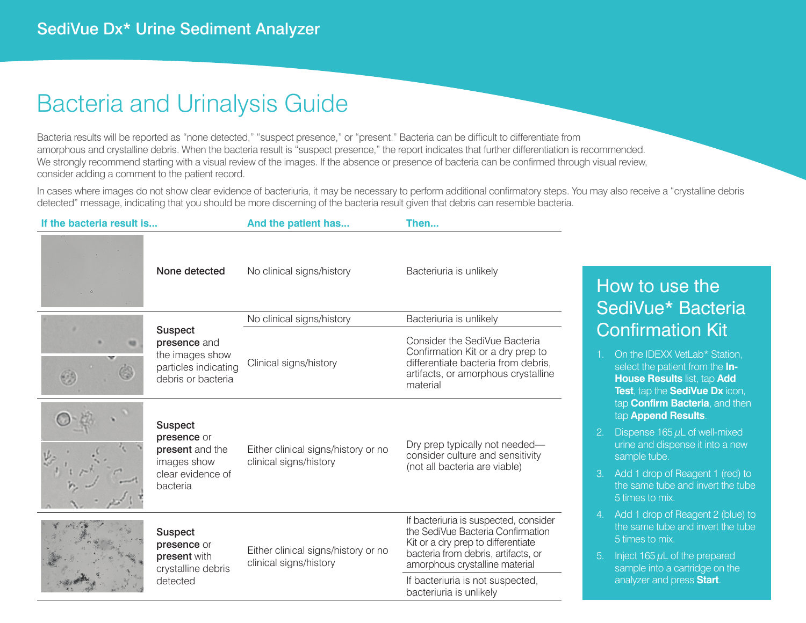### Bacteria and Urinalysis Guide

Bacteria results will be reported as "none detected," "suspect presence," or "present." Bacteria can be difficult to differentiate from amorphous and crystalline debris. When the bacteria result is "suspect presence," the report indicates that further differentiation is recommended. We strongly recommend starting with a visual review of the images. If the absence or presence of bacteria can be confirmed through visual review, consider adding a comment to the patient record.

In cases where images do not show clear evidence of bacteriuria, it may be necessary to perform additional confirmatory steps. You may also receive a "crystalline debris detected" message, indicating that you should be more discerning of the bacteria result given that debris can resemble bacteria.

| If the bacteria result is |                                                                                                  | And the patient has                                           | Then                                                                                                                                                                                      |
|---------------------------|--------------------------------------------------------------------------------------------------|---------------------------------------------------------------|-------------------------------------------------------------------------------------------------------------------------------------------------------------------------------------------|
|                           | None detected                                                                                    | No clinical signs/history                                     | Bacteriuria is unlikely                                                                                                                                                                   |
|                           | <b>Suspect</b><br>presence and<br>the images show<br>particles indicating<br>debris or bacteria  | No clinical signs/history                                     | Bacteriuria is unlikely                                                                                                                                                                   |
|                           |                                                                                                  | Clinical signs/history                                        | Consider the SediVue Bacteria<br>Confirmation Kit or a dry prep to<br>differentiate bacteria from debris,<br>artifacts, or amorphous crystalline<br>material                              |
|                           | <b>Suspect</b><br>presence or<br>present and the<br>images show<br>clear evidence of<br>bacteria | Either clinical signs/history or no<br>clinical signs/history | Dry prep typically not needed-<br>consider culture and sensitivity<br>(not all bacteria are viable)                                                                                       |
|                           | <b>Suspect</b><br>presence or<br>present with<br>crystalline debris<br>detected                  | Either clinical signs/history or no<br>clinical signs/history | If bacteriuria is suspected, consider<br>the SediVue Bacteria Confirmation<br>Kit or a dry prep to differentiate<br>bacteria from debris, artifacts, or<br>amorphous crystalline material |
|                           |                                                                                                  |                                                               | If bacteriuria is not suspected,<br>bacteriuria is unlikely                                                                                                                               |

### How to use the SediVue\* Bacteria Confirmation Kit

- 1. On the IDEXX VetLab\* Station. select the patient from the **In-House Results** list, tap **Add Test**, tap the **SediVue Dx** icon, tap **Confirm Bacteria**, and then tap **Append Results**.
- 2. Dispense 165 *μ*L of well-mixed urine and dispense it into a new sample tube.
- 3. Add 1 drop of Reagent 1 (red) to the same tube and invert the tube 5 times to mix.
- 4. Add 1 drop of Reagent 2 (blue) to the same tube and invert the tube 5 times to mix.
- 5. Inject 165  $\mu$ L of the prepared sample into a cartridge on the analyzer and press **Start**.